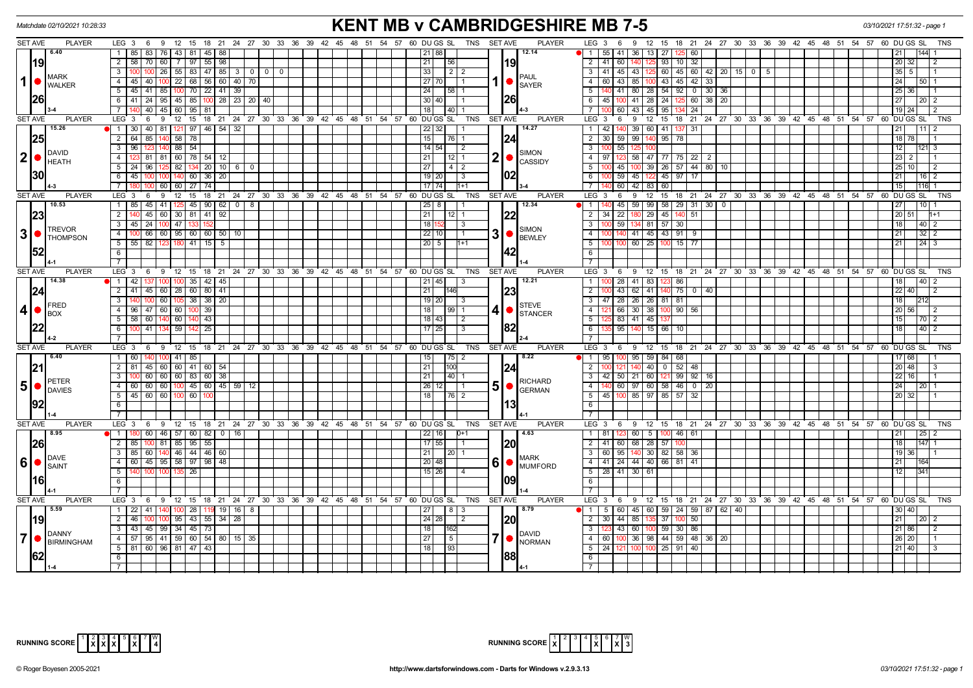| <b>KENT MB v CAMBRIDGESHIRE MB 7-5</b><br>Matchdate 02/10/2021 10:28:33<br>03/10/2021 17:51:32 - page 1       |                                                                                   |                                                                                 |                                                   |                                             |                                              |                                                                                       |                                                 |  |  |  |  |  |
|---------------------------------------------------------------------------------------------------------------|-----------------------------------------------------------------------------------|---------------------------------------------------------------------------------|---------------------------------------------------|---------------------------------------------|----------------------------------------------|---------------------------------------------------------------------------------------|-------------------------------------------------|--|--|--|--|--|
| <b>SET AVE</b><br><b>PLAYER</b>                                                                               |                                                                                   | LEG 3 6 9 12 15 18 21 24 27 30 33 36 39 42 45 48 51 54 57 60 DUGS SL TNS SETAVE |                                                   |                                             | <b>PLAYER</b>                                | LEG <sub>3</sub><br>9 12 15 18 21 24 27 30 33 36 39 42 45 48 51 54 57 60 DUGS SL<br>6 | TNS                                             |  |  |  |  |  |
| 6.40                                                                                                          | 85 83 76                                                                          | 43   81   45   88                                                               | 21 88                                             |                                             | 12.14                                        | 1 55 41 36 13 27<br>125 60                                                            |                                                 |  |  |  |  |  |
| <b>19</b>                                                                                                     | $\overline{2}$<br>$58$   70   60  <br>7 97                                        | 55<br>98                                                                        | 21                                                | 56                                          | 19                                           | $\overline{2}$<br>41<br>60 140<br>93<br>$10 \overline{\smash{)}32}$                   | 20 32                                           |  |  |  |  |  |
|                                                                                                               | $100$ 26<br>3                                                                     | $55 \mid 83 \mid 47 \mid 85 \mid 3 \mid 0 \mid 0 \mid 0$                        | 33                                                | $\begin{array}{c} \hline 2 & 2 \end{array}$ |                                              | 3 41 45 43 125<br>60   45   60   42   20   15   0 5                                   | $35$   5                                        |  |  |  |  |  |
| <b>MARK</b><br>$\mathbf{1}$<br>$\bullet$<br><b>WALKER</b>                                                     | $-4$<br>$45$ 40 100                                                               | 22 68 56 60 40 70                                                               |                                                   | $27 70 $ 1                                  | <b>PAUL</b><br>1   ●<br><b>SAYER</b>         | 43 85 100 43 45 42<br>$\overline{4}$<br>60<br>33                                      | 24<br>  50 I                                    |  |  |  |  |  |
|                                                                                                               | 45 41 85 100 70 22 41 39<br>$-5$                                                  |                                                                                 | 24                                                | $58$   1                                    |                                              | 140 41 80 28 54 92 0 30 36<br>5                                                       | $25 \mid 36$                                    |  |  |  |  |  |
| <b>26</b>                                                                                                     | 6                                                                                 | 41   24   95   45   85   100   28   23   20   40                                | 30 40                                             | $\overline{11}$                             | <b>26</b>                                    | 6 45 100 41 28 24 125 60<br>$38 \mid 20$                                              | 27<br> 20 2                                     |  |  |  |  |  |
|                                                                                                               | 140 40 45 60 95 81<br>$\overline{7}$                                              |                                                                                 | 18                                                | $40$   1                                    |                                              | 60 43 45 95 134 24<br>$\overline{7}$                                                  | 19124                                           |  |  |  |  |  |
| <b>SET AVE</b><br><b>PLAYER</b>                                                                               | $LEG \ 3$<br>$6^{\circ}$<br>° 9                                                   | 12 15 18 21 24 27 30 33 36 39 42 45 48 51 54 57 60 DUGS SL                      |                                                   | <b>TNS</b>                                  | <b>SET AVE</b><br><b>PLAYER</b>              | LEG <sup>3</sup><br>12 15 18 21 24 27 30 33 36 39 42 45 48 51 54 57<br>6<br>9         | 60 DU GS SL<br><b>TNS</b>                       |  |  |  |  |  |
| 15.26                                                                                                         | 1 30 40 81 121 97 46 54 32                                                        |                                                                                 | 22 32                                             |                                             | 14.27                                        | 42 140 39 60 41 137 31<br>$\overline{1}$                                              | $\overline{21}$<br>111                          |  |  |  |  |  |
| 25                                                                                                            | 64   85<br>$58$   78<br>$\overline{2}$<br>140                                     |                                                                                 | 15                                                | 76 1                                        | 24                                           | 59 99 140<br>$\overline{2}$<br>30<br>$95 \overline{\smash{\big)}\ 78}$                | $18$ 78                                         |  |  |  |  |  |
|                                                                                                               | $\overline{\mathbf{3}}$<br>88 54<br>96<br>123 140                                 |                                                                                 |                                                   | $14 \mid 54 \mid \quad \mid 2$              |                                              | 55<br>$\overline{3}$<br>10 <sup>c</sup>                                               | 12<br>121 3                                     |  |  |  |  |  |
| <b>DAVID</b><br> 2 ●                                                                                          | 3 81 81 60 78 54 12<br>$-4$                                                       |                                                                                 | 21                                                | $12$ 1                                      | SIMON<br>$2  \bullet  $                      | 123 58 47 77 75 22 2<br>$4 \mid 97$                                                   | $23$   2                                        |  |  |  |  |  |
| <b>HEATH</b>                                                                                                  | 5 24 96 125                                                                       | 82 134 20 10 6 0                                                                | 27                                                | I 4 I 2                                     | <b>CASSIDY</b>                               | 45 100 39 26 57 44 80 10<br>5                                                         | 25   10                                         |  |  |  |  |  |
| <b>30</b>                                                                                                     | 6<br>$140$ 60 36<br>$-45$                                                         | 20                                                                              | $19$   20                                         | $\vert$ 3                                   | 02                                           | 6<br>59 45 122 45 97 17                                                               | $\overline{21}$<br>$16$   2                     |  |  |  |  |  |
|                                                                                                               | 100 60 60 27 74<br>$\overline{7}$                                                 |                                                                                 | 17174                                             | $1+1$                                       |                                              | 60 42 83 60<br>$\overline{7}$                                                         | 15 <br>116 1                                    |  |  |  |  |  |
| <b>SET AVE</b><br><b>PLAYER</b>                                                                               | LEG 3<br>9<br>$12 \quad 15$<br>6                                                  | 18 <sup>2</sup>                                                                 | 21 24 27 30 33 36 39 42 45 48 51 54 57 60 DUGS SL | <b>TNS</b>                                  | <b>SET AVE</b><br><b>PLAYER</b>              | LEG <sub>3</sub><br>6<br>12 15 18 21 24 27 30 33 36 39 42 45 48 51 54 57<br>9         | 60 DU GS SL<br><b>TNS</b>                       |  |  |  |  |  |
| 10.53                                                                                                         | $1 \mid 85$                                                                       | $45$   41   125   45   90   62   0   8                                          | $\boxed{25}$ 8                                    | $\vert$ 1                                   | 12.34                                        | $140$ 45 59 99 58 29 31 30 0<br>$\overline{1}$                                        | 27<br>10                                        |  |  |  |  |  |
| 23                                                                                                            | $\overline{2}$<br>45 60 30 81 41 92                                               |                                                                                 | 21                                                | $12$   1                                    | 22                                           | 2 34 22<br>180 29 45 140 51                                                           | 20 51<br>$h+1$                                  |  |  |  |  |  |
|                                                                                                               | $\overline{\mathbf{3}}$<br>45 24 100 47 133                                       |                                                                                 | 18                                                | $\overline{3}$                              |                                              | $\overline{3}$<br>59 134 81 57 30                                                     | 18<br> 40 2                                     |  |  |  |  |  |
| <b>TREVOR</b><br>$3$ $\bullet$ $\left  \begin{array}{c} \text{THEVUR} \\ \text{THOMPSON} \end{array} \right $ | $\overline{4}$<br>66 60 95 60 60 50 10                                            |                                                                                 | 22                                                | l 1<br>10 I                                 | <b>SIMON</b><br>$3$ $\bullet$ $\beta$ BEWLEY | $\overline{4}$<br>140 41 45 43 91 9                                                   | $32$   2<br>21                                  |  |  |  |  |  |
|                                                                                                               | $5\overline{)}$<br>$55 \mid 82$<br>12 <sup>2</sup>                                | 180 41 15<br>5                                                                  | $20 \mid 5 \mid$                                  | $1 + 1$                                     |                                              | 60 25<br>5 <sup>5</sup><br>$15$ 77                                                    | 21<br>$\begin{array}{ c c } 24 & 3 \end{array}$ |  |  |  |  |  |
| 52                                                                                                            | 6                                                                                 |                                                                                 |                                                   |                                             | 42                                           | $6\overline{6}$                                                                       |                                                 |  |  |  |  |  |
|                                                                                                               | $\overline{7}$                                                                    |                                                                                 |                                                   |                                             |                                              | $7\phantom{.0}$                                                                       |                                                 |  |  |  |  |  |
| <b>SET AVE</b><br><b>PLAYER</b>                                                                               |                                                                                   | LEG 3 6 9 12 15 18 21 24 27 30 33 36 39 42 45 48 51 54 57 60 DUGS SL            |                                                   | TNS                                         | <b>SET AVE</b><br><b>PLAYER</b>              | LEG 3 6 9 12 15 18 21 24 27 30 33 36 39 42 45 48 51 54 57 60 DUGS SL                  | TNS                                             |  |  |  |  |  |
| 14.38                                                                                                         | $\bullet$ 1<br>42<br>137 100                                                      | $35 \mid 42$<br>45                                                              | 21 45                                             | $\overline{3}$                              | 12.21                                        | 1<br>28 41 83<br>86                                                                   | 40<br>18 I                                      |  |  |  |  |  |
| 24                                                                                                            | $\overline{2}$<br>41 45 60 28 60 80                                               | 41                                                                              | 21                                                | 146                                         | 23                                           | $\overline{2}$<br>43 62 41<br>75<br>$^{\circ}$<br>40                                  | 22 40                                           |  |  |  |  |  |
|                                                                                                               | $100$ 60<br>$105$ 38 38<br>$\overline{3}$                                         | 20                                                                              | 19 20                                             | $\sqrt{3}$                                  |                                              | 47 28 26 26 81 81<br>$\mathbf{3}$                                                     |                                                 |  |  |  |  |  |
| <b>IFRED</b><br>$\vert$                                                                                       | 96   47   60   60   100   39<br>$\overline{4}$                                    |                                                                                 | 18                                                | $99$   1                                    | <b>I</b> STEVE<br>41<br>$\bullet$            | 66 30 38<br>100 90 56<br>4                                                            | 20 56 1<br>l 2                                  |  |  |  |  |  |
| <b>BOX</b>                                                                                                    | 58 60 140<br>5<br>60   140   43                                                   |                                                                                 | 18 43                                             | $\overline{2}$                              | <b>STANCER</b>                               | $-5$<br>83 41 45<br>125                                                               | 15<br>17012                                     |  |  |  |  |  |
| 22                                                                                                            | 6<br>$100$ 41<br>59 142 25                                                        |                                                                                 | 17 25                                             | $\overline{1}$ 3                            | 82                                           | 6<br>95 140 15 66 10                                                                  | 40 2<br>  18                                    |  |  |  |  |  |
|                                                                                                               | $\overline{7}$                                                                    |                                                                                 |                                                   |                                             |                                              | $\overline{7}$                                                                        |                                                 |  |  |  |  |  |
| <b>SET AVE</b><br><b>PLAYER</b>                                                                               | $LEG \ 3$<br>6 <sup>9</sup><br>$12 \quad 15$                                      | 18 21 24 27 30 33 36 39 42 45 48 51 54 57 60 DUGSSL                             |                                                   | <b>TNS</b>                                  | <b>PLAYER</b><br><b>SET AVE</b>              | LEG <sub>3</sub><br>6<br>12 15<br>18 21 24 27 30 33 36 39 42 45 48 51 54 57<br>- 9    | 60 DU GS SL<br><b>TNS</b>                       |  |  |  |  |  |
| 6.40                                                                                                          | 1 60 140 100 41 85                                                                |                                                                                 | 15                                                | $75$ 2                                      | 8.22                                         | 1 95 100 95 59 84 68                                                                  | 17 68                                           |  |  |  |  |  |
| 21                                                                                                            | 45 60 60 41 60<br>$\overline{2}$<br>81                                            | 54                                                                              | 21                                                | 100                                         | 24                                           | 140 40<br>$0$ 52 48<br>$\overline{2}$                                                 | 20 48                                           |  |  |  |  |  |
|                                                                                                               | $\frac{60}{60}$ $\frac{60}{60}$ $\frac{60}{30}$ $\frac{30}{30}$<br>$\overline{3}$ |                                                                                 | 21                                                | 40 1                                        |                                              | 42 50 21 60 121 99 92<br>3<br>16                                                      | 22 16                                           |  |  |  |  |  |
| PETER<br>5 <sup>1</sup><br>$\bullet$<br><b>DAVIES</b>                                                         | $4$   60   60   60   100   45   60   45   59   12                                 |                                                                                 | 26                                                | $\overline{11}$                             | <b>RICHARD</b><br>$5 \nvert \nvert$ GERMAN   | $\overline{4}$<br>140 60 97 60 58 46 0 20                                             | 24 <br>l 20 l                                   |  |  |  |  |  |
|                                                                                                               | 5   45   60   60   100   60   100                                                 |                                                                                 | 18 <sup>1</sup>                                   | 76 2                                        |                                              | 5 45 100 85 97 85 57 32                                                               | 20 32                                           |  |  |  |  |  |
|                                                                                                               | 6                                                                                 |                                                                                 |                                                   |                                             | 13                                           | 6                                                                                     |                                                 |  |  |  |  |  |
|                                                                                                               | $\overline{7}$                                                                    |                                                                                 |                                                   |                                             |                                              |                                                                                       |                                                 |  |  |  |  |  |
| <b>SET AVE</b><br><b>PLAYER</b>                                                                               |                                                                                   | LEG 3 6 9 12 15 18 21 24 27 30 33 36 39 42 45 48 51 54 57 60 DUGS SL TNS        |                                                   |                                             | <b>PLAYER</b><br><b>SET AVE</b>              | LEG 3 6 9 12 15 18 21 24 27 30 33 36 39 42 45 48 51 54 57                             | 60 DUGS SL<br><b>TNS</b>                        |  |  |  |  |  |
| 8.95                                                                                                          | 1 180<br>$60$   46   57   60   82   0   16                                        |                                                                                 | 22 16                                             | $D+1$                                       | 4.63                                         | $123$ 60 5 100 46 61<br>$1 \ 81$                                                      | 21<br> 25 <br>2                                 |  |  |  |  |  |
| 26                                                                                                            | 85 100 81 85 95 55<br>$\overline{2}$                                              |                                                                                 | 17   55                                           | $\overline{11}$                             | 20                                           | 2 41 60 68 28 57 100                                                                  | 1147<br>l 18 I                                  |  |  |  |  |  |
|                                                                                                               | 3   85   60   140   46   44   46   60                                             |                                                                                 | 21                                                | 20   1                                      |                                              | 3 60 95 140 30 82 58 36                                                               | 19   36                                         |  |  |  |  |  |
| <b>DAVE</b><br>$ 6 $ $ ^{LAVE}_{SAINT}$                                                                       | 4 60 45 95 58 97 98 48                                                            |                                                                                 | $20$ 48                                           |                                             | <b>I</b> MARK<br>6I<br>MUMFORD               | 4 4 41 24 44 40 66 81 41                                                              | 21<br>164                                       |  |  |  |  |  |
|                                                                                                               | $\overline{5}$<br>100 <sub>1</sub><br>$\overline{26}$                             |                                                                                 |                                                   | $15$   26                                   |                                              | $5$ 28 41 30 61                                                                       | 341                                             |  |  |  |  |  |
| l16I                                                                                                          | $6\overline{6}$                                                                   |                                                                                 |                                                   |                                             | 109                                          | 6                                                                                     |                                                 |  |  |  |  |  |
|                                                                                                               | $\overline{7}$                                                                    |                                                                                 |                                                   |                                             |                                              | $\overline{7}$                                                                        |                                                 |  |  |  |  |  |
| <b>SET AVE</b><br><b>PLAYER</b>                                                                               |                                                                                   | LEG 3 6 9 12 15 18 21 24 27 30 33 36 39 42 45 48 51 54 57 60 DUGS SL            |                                                   | TNS SET AVE                                 | <b>PLAYER</b>                                | LEG 3 6 9 12 15 18 21 24 27 30 33 36 39 42 45 48 51 54 57 60 DUGS SL                  | <b>TNS</b>                                      |  |  |  |  |  |
| 5.59                                                                                                          | 1 22 41 140                                                                       | 100 28 119 19 16<br>-8                                                          | 27                                                | 8 3                                         | 8.79                                         | 60 45 60 59 24 59 87 62 40<br>1 <sub>1</sub><br>5                                     | 30 40                                           |  |  |  |  |  |
| <u> 19 </u>                                                                                                   | $\overline{2}$<br>46 100 100                                                      | $95$ 43 55 34 28                                                                | 24 28                                             | $\sqrt{2}$                                  | 20                                           | 30 44 85 135 37 100 50<br>2                                                           | 21<br>$\sqrt{20}$ 2                             |  |  |  |  |  |
|                                                                                                               | $\overline{\mathbf{3}}$<br>43 45 99 34 45 73                                      |                                                                                 | 18                                                | 162                                         |                                              | 43 60<br>59 30 86<br>$\overline{\mathbf{3}}$<br>100                                   | 21 86<br>$\overline{2}$                         |  |  |  |  |  |
| <b>DANNY</b><br>$\overline{7}$<br><b>BIRMINGHAM</b>                                                           | 4   57   95   41   59   60   54   80   15   35                                    |                                                                                 | 27                                                | 5 <sub>5</sub>                              | DAVID<br><b>NORMAN</b>                       | 4 60 100 36 98 44 59 48 36 20                                                         | 26 20                                           |  |  |  |  |  |
|                                                                                                               | $5$   81   60   96   81   47   43                                                 |                                                                                 | 18                                                | 93                                          |                                              | 5 24 121 100 100 25 91 40                                                             | 21 40 <br>3                                     |  |  |  |  |  |
| <b>621</b>                                                                                                    | 6                                                                                 |                                                                                 |                                                   |                                             | <b>88</b>                                    | 6                                                                                     |                                                 |  |  |  |  |  |
|                                                                                                               | $\overline{7}$                                                                    |                                                                                 |                                                   |                                             |                                              | $\overline{7}$                                                                        |                                                 |  |  |  |  |  |

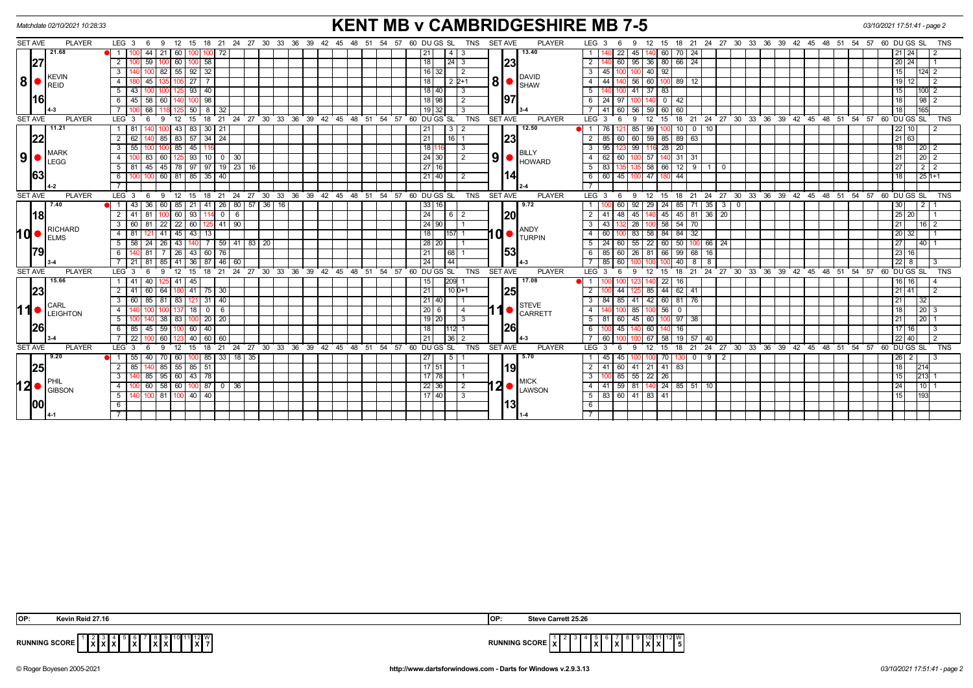|      | Matchdate 02/10/2021 10:28:33 |                                       |                         |              |                                   |                     |                   |                 |                               |                                                   |       | <b>KENT MB v CAMBRIDGESHIRE MB 7-5</b><br>18 21 24 27 30 33 36 39 42 45 48 51 54 57 60 DUGS SL |                     |              |        |    |    |                |                                          |                 |                    |                |    |                                        |                                                                                                                                                                                                        | 03/10/2021 17:51:41 - page 2 |          |                                    |              |                       |                 |               |               |                |      |    |         |    |                                          |    |    |             |                 |                    |            |
|------|-------------------------------|---------------------------------------|-------------------------|--------------|-----------------------------------|---------------------|-------------------|-----------------|-------------------------------|---------------------------------------------------|-------|------------------------------------------------------------------------------------------------|---------------------|--------------|--------|----|----|----------------|------------------------------------------|-----------------|--------------------|----------------|----|----------------------------------------|--------------------------------------------------------------------------------------------------------------------------------------------------------------------------------------------------------|------------------------------|----------|------------------------------------|--------------|-----------------------|-----------------|---------------|---------------|----------------|------|----|---------|----|------------------------------------------|----|----|-------------|-----------------|--------------------|------------|
|      | <b>SET AVE</b>                | <b>PLAYER</b>                         | LEG <sub>3</sub>        | - 6          | 9                                 | 12                  | 18<br>15          |                 |                               | 21  24  27  30  33  36  39  42  45  48  51        |       |                                                                                                |                     |              |        |    | 54 | 57 60 DU GS SL |                                          |                 |                    | <b>TNS</b>     |    | <b>SET AVE</b>                         | <b>PLAYER</b>                                                                                                                                                                                          | LEG <sub>3</sub>             |          | 9                                  | 12           | 15                    |                 |               |               |                |      |    |         |    |                                          |    |    |             |                 |                    | <b>TNS</b> |
|      |                               | 21.68                                 | $\overline{1}$          | 44           | 21                                | 60 I                |                   | 72              |                               |                                                   |       |                                                                                                |                     |              |        |    |    |                |                                          | 21              | 4                  |                |    |                                        | 13.40                                                                                                                                                                                                  |                              |          | 22<br>45                           |              | 60                    | 24<br>70        |               |               |                |      |    |         |    |                                          |    |    |             | 21 24           |                    |            |
|      | 27                            | <b>KEVIN</b><br><b>REID</b>           | $\overline{2}$          | 59           |                                   | 60                  | 58<br>100         |                 |                               |                                                   |       |                                                                                                |                     |              |        |    |    |                |                                          | 18              | 24                 | 3              |    | 23                                     |                                                                                                                                                                                                        | $\overline{2}$               |          | 95                                 | 36           | 80                    | 66<br>24        |               |               |                |      |    |         |    |                                          |    |    |             | 20 24           |                    |            |
|      |                               |                                       |                         |              | 82                                |                     | 55 92 32          |                 |                               |                                                   |       |                                                                                                |                     |              |        |    |    |                |                                          | $16$ 32         |                    | $\overline{2}$ |    |                                        |                                                                                                                                                                                                        | $\overline{3}$               | 45       | 10C                                | 40 92        |                       |                 |               |               |                |      |    |         |    |                                          |    |    |             | 15              | 124 2              |            |
| 8    |                               |                                       |                         | 45           | 27                                |                     |                   |                 |                               |                                                   |       |                                                                                                |                     | 18           | $2P+1$ |    |    |                | <b>DAVID</b><br>$300$ $\frac{1000}{100}$ | $\overline{4}$  |                    | 56             | 60 | 100 89                                 | - 12                                                                                                                                                                                                   |                              |          |                                    |              |                       |                 |               |               |                |      |    | $19$ 12 |    |                                          |    |    |             |                 |                    |            |
|      |                               |                                       | $\overline{5}$<br>43 I  |              |                                   |                     | 93   40           |                 |                               |                                                   |       |                                                                                                |                     |              |        |    |    |                |                                          | 18 40           |                    | 3              |    |                                        |                                                                                                                                                                                                        | $\overline{5}$               |          |                                    | 41 37 83     |                       |                 |               |               |                |      |    |         |    |                                          |    |    |             | 15              | 100I               |            |
|      | <b>116</b>                    |                                       | 6                       | 45   58      | 60                                |                     | 98<br>100         |                 |                               |                                                   |       |                                                                                                |                     |              |        |    |    |                |                                          | 18 98           |                    | $\overline{2}$ |    | 97                                     |                                                                                                                                                                                                        | 6                            | 24<br>97 |                                    |              | $^{\circ}$            | 42              |               |               |                |      |    |         |    |                                          |    |    |             | 18              | 98                 |            |
|      |                               |                                       |                         | 68           |                                   |                     | 50<br>8           | 32              |                               |                                                   |       |                                                                                                |                     |              |        |    |    |                |                                          | $19$ 32         |                    |                |    |                                        |                                                                                                                                                                                                        |                              | -41      | 56<br>60                           | 59 60        | -60                   |                 |               |               |                |      |    |         |    |                                          |    |    |             | 18              | 165                |            |
|      | <b>SET AVE</b>                | <b>PLAYER</b>                         | $LEG \ 3$               | - 6          | 9                                 | 12                  | 18<br>15          | 21              |                               | 24 27 30 33 36 39 42 45 48 51 54 57 60 DUGS SL    |       |                                                                                                |                     |              |        |    |    |                |                                          |                 |                    | TNS            |    | <b>SET AVE</b>                         | <b>PLAYER</b>                                                                                                                                                                                          | LEG <sup>®</sup>             | - 3      | $\mathbf{q}$                       | 12           | 18<br>15              |                 | 21 24 27      |               |                |      |    |         |    | 30 33 36 39 42 45 48 51 54 57 60 DUGS SL |    |    |             |                 |                    | <b>TNS</b> |
|      |                               | 11.21                                 | 81                      |              |                                   | 43 I                | 83<br>30          | 21              |                               |                                                   |       |                                                                                                |                     |              |        |    |    |                |                                          | $\overline{21}$ | $\overline{\cdot}$ | l 2            |    |                                        | 12.50                                                                                                                                                                                                  |                              |          | 85                                 | 99           |                       | 10              | $0$ 10        |               |                |      |    |         |    |                                          |    |    |             | $22$ 10         |                    |            |
|      | 22                            | <b>MARK</b><br><b>LEGG</b>            |                         |              | 85                                | 83 57               | -34               | 24              |                               |                                                   |       |                                                                                                |                     |              |        |    |    |                |                                          | 21              | $16$   1           |                |    |                                        | 23 <br>BILLY                                                                                                                                                                                           |                              | 85       | 60<br>60                           | 59           | 85 89 63              |                 |               |               |                |      |    |         |    |                                          |    |    |             | $\frac{21}{63}$ |                    |            |
|      |                               |                                       | 3<br>55                 |              |                                   | 85                  | 45                |                 |                               |                                                   |       |                                                                                                |                     |              |        |    |    |                |                                          | 18              |                    | 3              |    |                                        |                                                                                                                                                                                                        | $\overline{3}$               | 95       | 99                                 |              | 28                    | 20              |               |               |                |      |    |         |    |                                          |    |    |             | $\overline{18}$ | 20                 |            |
|      | 9 •                           |                                       |                         | 83           | 60                                |                     | 93<br>  10        |                 | 0 30                          |                                                   |       |                                                                                                |                     |              |        |    |    |                |                                          | 24 30           |                    | $\overline{2}$ |    |                                        | $\left  9 \right $ $\bullet$ $\left  \rule{0pt}{13pt} \right $ $\left  \rule{0pt}{13pt} \right $ $\left  \rule{0pt}{13pt} \right $ $\left  \rule{0pt}{13pt} \right $ $\left  \rule{0pt}{13pt} \right $ | $\overline{4}$               | 62       | 60                                 | 57           |                       | 140 31 31       |               |               |                |      |    |         |    |                                          |    |    |             | 21              | $\sqrt{20}$ 2      |            |
|      |                               |                                       | 5<br>-81                | 45           | 45                                | 78 97               | 97                |                 | $19$   23   16                |                                                   |       |                                                                                                |                     |              |        |    |    |                |                                          | 27 16           |                    |                |    |                                        |                                                                                                                                                                                                        | 5                            |          |                                    | 58           | 66                    | $\overline{12}$ | $9 \mid 1$    | $\mathbf 0$   |                |      |    |         |    |                                          |    |    |             | $\overline{27}$ | 2 2                |            |
|      | 63                            |                                       | 6                       |              | 100 60 81 85 35                   |                     |                   | l 40            |                               |                                                   |       |                                                                                                |                     |              |        |    |    |                |                                          | $21$ 40         |                    | $\overline{2}$ |    |                                        | 114                                                                                                                                                                                                    | 6                            | 60 T     | 45 100 47 180 44                   |              |                       |                 |               |               |                |      |    |         |    |                                          |    |    |             | 18              | $\frac{1}{25}$ 1+1 |            |
|      |                               |                                       |                         |              |                                   |                     |                   |                 |                               |                                                   |       |                                                                                                |                     |              |        |    |    |                |                                          |                 |                    |                |    |                                        |                                                                                                                                                                                                        |                              |          |                                    |              |                       |                 |               |               |                |      |    |         |    |                                          |    |    |             |                 |                    |            |
|      | <b>SET AVE</b>                | <b>PLAYER</b>                         | LEG 3                   | - 6          | 9                                 | 12                  | 15<br>18          |                 |                               | 21 24 27 30 33 36 39 42 45 48 51 54 57 60 DUGS SL |       |                                                                                                |                     |              |        |    |    |                |                                          |                 |                    | <b>TNS</b>     |    | SET AVE                                | <b>PLAYER</b>                                                                                                                                                                                          | LEG <sub>3</sub>             |          | 9                                  | 12           | 15                    | 18              | $21 \quad 24$ | $^{\circ}$ 27 |                |      |    |         |    | 30 33 36 39 42 45 48 51 54 57 60 DUGS SL |    |    |             |                 |                    | <b>TNS</b> |
|      |                               | 7.40<br><b>RICHARD</b><br><b>ELMS</b> | 43 I                    | 36           | 60                                | 85   21             | 41                |                 |                               | $26$ 80 57                                        | 36 16 |                                                                                                |                     |              |        |    |    |                |                                          | 33 16           |                    |                |    |                                        | 9.72                                                                                                                                                                                                   |                              |          | 92<br>60                           | -29          | 24                    | 85              | 71 35         | 3             | $\overline{0}$ |      |    |         |    |                                          |    |    |             | 30              | 2 <sup>1</sup>     |            |
|      | <b>18</b>                     |                                       | $\overline{2}$<br>41    | 81           |                                   | $60$   93           |                   |                 | $0$ 6                         |                                                   |       |                                                                                                |                     |              |        |    |    |                |                                          | 24              |                    |                |    | <b>20</b>                              |                                                                                                                                                                                                        | $\overline{2}$               | 41       | 45<br>48                           |              | 45                    |                 | 45 81 36 20   |               |                |      |    |         |    |                                          |    |    |             | $25$ 20         |                    |            |
|      |                               |                                       | 60 I                    | 81           | 22                                | 22   60             | l 125             |                 | $41 \overline{\smash{)}\,90}$ |                                                   |       |                                                                                                |                     |              |        |    |    |                |                                          | $24$ 90         |                    |                |    | ANDY<br>I 0  ●<br><b>TURPIN</b><br> 53 |                                                                                                                                                                                                        | $\overline{\mathbf{3}}$      | 43       | 28                                 |              | 58 54                 | 70              |               |               |                |      |    |         |    |                                          |    |    |             | 21              |                    | $16$   2   |
| 10 ● |                               |                                       | 81<br>4                 |              | 41                                | 45                  | 43<br>13          |                 |                               |                                                   |       |                                                                                                |                     |              |        |    |    |                |                                          | 18              | 157                |                |    |                                        |                                                                                                                                                                                                        | $\overline{4}$               | 60       | 83                                 | 58           | 84                    | 84<br>32        |               |               |                |      |    |         |    |                                          |    |    |             | 20 32           |                    |            |
|      |                               |                                       | 5                       | $58 \mid 24$ | 26                                | 43 I                |                   |                 |                               | $59 \mid 41 \mid 83 \mid 20$                      |       |                                                                                                |                     |              |        |    |    |                |                                          | 28 20           |                    |                |    |                                        |                                                                                                                                                                                                        | 5                            | -24      | 60 I                               |              | 55 22 60 50 100 66 24 |                 |               |               |                |      |    |         |    |                                          |    |    |             | 27              | 40 I               |            |
|      | 179                           |                                       | $6 \overline{6}$        |              |                                   | 26                  | 60<br>43          | 76              |                               |                                                   |       |                                                                                                |                     |              |        |    |    |                |                                          | 21              | 68                 |                |    |                                        |                                                                                                                                                                                                        | 6                            |          | 26                                 | 81           | 66                    | 99              | 68 16         |               |                |      |    |         |    |                                          |    |    |             | $\sqrt{23}$ 16  |                    |            |
|      |                               |                                       |                         | $21$ 81      | 85                                | $41 \overline{)36}$ | 87                |                 | $-46$ 60                      |                                                   |       |                                                                                                |                     |              |        |    |    |                |                                          | 24              | 44                 |                |    |                                        |                                                                                                                                                                                                        |                              | 85       | 60                                 |              |                       | 40              | 888           |               |                |      |    |         |    |                                          |    |    |             | $22$ 8          |                    |            |
|      | <b>SET AVE</b>                | <b>PLAYER</b>                         | LEG <sub>3</sub>        | - 6          |                                   | 12                  | 18<br>15          |                 |                               | 21 24 27 30 33 36                                 |       |                                                                                                | 39 42 45 48 51      |              |        |    | 54 | 57             | 60 DU GS SL                              |                 |                    | TNS            |    | <b>SET AVE</b>                         | <b>PLAYER</b>                                                                                                                                                                                          | LEG <sub>3</sub>             |          | 9                                  | 12           | 15<br>18              |                 | 21 24 27      |               | 30 33 36       |      |    | 39 42   | 45 | 48<br>51                                 | 54 | 57 | 60 DU GS SL |                 |                    | <b>TNS</b> |
|      |                               | 15.66                                 | 41                      | 40           |                                   | 41 I                | 45                |                 |                               |                                                   |       |                                                                                                |                     |              |        |    |    |                |                                          | 15              | 209                |                |    |                                        | 17.08                                                                                                                                                                                                  | $\overline{1}$               |          |                                    |              | 22                    | 16              |               |               |                |      |    |         |    |                                          |    |    |             | 16   16         |                    |            |
|      | 23                            |                                       | 2                       | 41 60        | 64                                | 180   41            | 75                | 30              |                               |                                                   |       |                                                                                                |                     |              |        |    |    |                |                                          | 21              | $10D+1$            |                |    | 25                                     |                                                                                                                                                                                                        | 2                            |          |                                    | 85           | 44                    | $62 \mid 41$    |               |               |                |      |    |         |    |                                          |    |    |             | 21 41           |                    |            |
|      |                               | CARL                                  | $\overline{3}$<br>60 I  |              | 85   81                           |                     | 83 121 31         | $\overline{40}$ |                               |                                                   |       |                                                                                                |                     |              |        |    |    |                |                                          | 21 40           |                    |                |    |                                        | <b>STEVE</b>                                                                                                                                                                                           | $\overline{3}$               | 84       | 85 41 42 60 81 76                  |              |                       |                 |               |               |                |      |    |         |    |                                          |    |    |             | 21              | 32                 |            |
|      | 11                            | LEIGHTON                              |                         |              |                                   |                     | 18<br>$\mathbf 0$ | 6               |                               |                                                   |       |                                                                                                |                     |              |        |    |    |                |                                          | 20   6          |                    |                |    |                                        | $\left  \textbf{1} \right $ $\left  \textbf{c} \right $ arrett                                                                                                                                         | $\overline{4}$               |          | 85                                 |              | 56                    |                 |               |               |                |      |    |         |    |                                          |    |    |             | 18              | $20$   3           |            |
|      |                               |                                       | 5                       |              | 38                                | 83 I                | 20<br>100         | 20 <sup>1</sup> |                               |                                                   |       |                                                                                                |                     |              |        |    |    |                |                                          | 19 20           |                    | 3              |    |                                        |                                                                                                                                                                                                        | 5                            | 81       | 45<br>60                           | 60           |                       | 97<br>38        |               |               |                |      |    |         |    |                                          |    |    |             | 21              | 20 <sub>1</sub>    |            |
|      | <b>26</b>                     |                                       | 85 I<br>6               | 45           | 59                                |                     | 60<br>40          |                 |                               |                                                   |       |                                                                                                |                     |              |        |    |    |                |                                          | 18              | 112                |                |    | <b>26</b>                              |                                                                                                                                                                                                        | 6                            |          | 45                                 | 60 I         |                       | 16              |               |               |                |      |    |         |    |                                          |    |    |             | $17$   16       |                    |            |
|      |                               |                                       | 22                      |              | 60                                |                     | 60<br>40          | 60              |                               |                                                   |       |                                                                                                |                     |              |        |    |    |                |                                          | 21              | 36                 |                |    |                                        |                                                                                                                                                                                                        | $\overline{7}$               | -60      |                                    | -67          | 58                    | 19<br>57 I      | 40            |               |                |      |    |         |    |                                          |    |    |             | 22 40           |                    |            |
|      | <b>SET AVE</b>                | <b>PLAYER</b>                         | LEG <sub>3</sub>        |              |                                   |                     |                   |                 | 24                            | $^{\circ}$ 27                                     | 30    |                                                                                                | $33 \t36 \t39 \t42$ | $45^{\circ}$ | 48     | 51 | 54 | 57             |                                          | DU GS           | SL                 | <b>TNS</b>     |    | <b>SET AVE</b>                         | <b>PLAYER</b>                                                                                                                                                                                          | LEG <sup>T</sup>             |          |                                    |              |                       |                 | 24            | 27            | 30<br>33       | ີ 36 | 39 | 42      | 45 | 48                                       | 54 |    |             | DU GS SL        |                    |            |
|      |                               | 9.20                                  |                         |              |                                   |                     | 85                | 33 I            | 18                            | 35                                                |       |                                                                                                |                     |              |        |    |    |                |                                          | 27              |                    |                |    |                                        | 5.70                                                                                                                                                                                                   |                              |          |                                    |              |                       |                 |               |               |                |      |    |         |    |                                          |    |    |             | 26  <br>2       |                    |            |
|      | 25                            |                                       | $\overline{2}$<br>-85 I |              | 85                                |                     | $55 \ 85 \ 51$    |                 |                               |                                                   |       |                                                                                                |                     |              |        |    |    |                |                                          | $17$ 51         |                    |                |    | l19l                                   |                                                                                                                                                                                                        | $\overline{2}$               | 41       | 60 41                              |              | 21 41 83              |                 |               |               |                |      |    |         |    |                                          |    |    |             | 18              | 214                |            |
|      |                               |                                       | 3                       | 85           | 95                                |                     | 60 43 78          |                 |                               |                                                   |       |                                                                                                |                     |              |        |    |    |                |                                          | $17$ 78         |                    |                |    |                                        | <b>MICK</b>                                                                                                                                                                                            | 3                            |          | 85<br>55                           | $22 \mid 26$ |                       |                 |               |               |                |      |    |         |    |                                          |    |    |             | 15              | 213                |            |
| 12 ● |                               | <b>GIBSON</b>                         | $\overline{4}$          |              | $\frac{60}{58}$ 58 60 100 87 0 36 |                     |                   |                 |                               |                                                   |       |                                                                                                |                     |              |        |    |    |                |                                          | 22 36           |                    | $\overline{2}$ |    |                                        | $12 \bullet $ $\sum_{\text{LAWSON}}$                                                                                                                                                                   | $\overline{4}$               | $-41$    | $\overline{59}$ 81 140 24 85 51 10 |              |                       |                 |               |               |                |      |    |         |    |                                          |    |    |             | 24              | 10                 |            |
|      |                               |                                       | 5                       |              | 100 81 100 40 40                  |                     |                   |                 |                               |                                                   |       |                                                                                                |                     |              |        |    |    |                |                                          | $17$  40        |                    | $\overline{3}$ |    |                                        |                                                                                                                                                                                                        | 5 <sup>5</sup>               |          | 83 60 41 83 41                     |              |                       |                 |               |               |                |      |    |         |    |                                          |    |    |             | 15              | 193                |            |
|      | 00                            |                                       | 6                       |              |                                   |                     |                   |                 |                               |                                                   |       |                                                                                                |                     |              |        |    |    |                |                                          |                 |                    |                |    |                                        | l13I                                                                                                                                                                                                   | 6                            |          |                                    |              |                       |                 |               |               |                |      |    |         |    |                                          |    |    |             |                 |                    |            |
|      |                               |                                       |                         |              |                                   |                     |                   |                 |                               |                                                   |       |                                                                                                |                     |              |        |    |    |                |                                          |                 |                    |                |    |                                        |                                                                                                                                                                                                        |                              |          |                                    |              |                       |                 |               |               |                |      |    |         |    |                                          |    |    |             |                 |                    |            |

| <b>IOP</b> | in Reid 27.16                                    | Steve Carrett 25.26<br>lo                                                                                                                                                         |
|------------|--------------------------------------------------|-----------------------------------------------------------------------------------------------------------------------------------------------------------------------------------|
|            | <b>RUNNING SCORE</b><br>lxl:<br>IXIX<br>.<br>. . | . 2 W<br>$\sim$ $\sim$ $\sim$ $\sim$<br>$\overline{\phantom{a}}$<br>$\overline{\phantom{a}}$<br>l 5<br>IX.<br>$\mathbf{r}$<br>the contract of the contract of the contract of the |